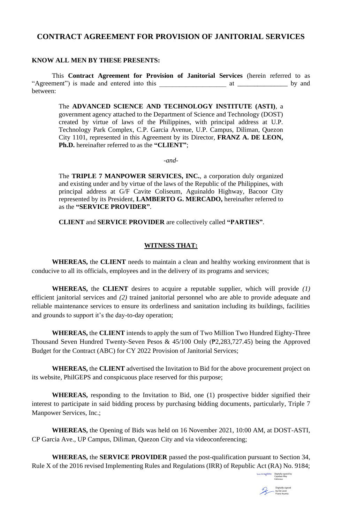## **CONTRACT AGREEMENT FOR PROVISION OF JANITORIAL SERVICES**

#### **KNOW ALL MEN BY THESE PRESENTS:**

This **Contract Agreement for Provision of Janitorial Services** (herein referred to as "Agreement") is made and entered into this \_\_\_\_\_\_\_\_\_\_\_\_\_\_\_\_\_\_\_\_ at \_\_\_\_\_\_\_\_\_\_\_\_\_\_\_ by and between:

The **ADVANCED SCIENCE AND TECHNOLOGY INSTITUTE (ASTI)**, a government agency attached to the Department of Science and Technology (DOST) created by virtue of laws of the Philippines, with principal address at U.P. Technology Park Complex, C.P. Garcia Avenue, U.P. Campus, Diliman, Quezon City 1101, represented in this Agreement by its Director, **FRANZ A. DE LEON, Ph.D.** hereinafter referred to as the **"CLIENT"**;

*-and-*

The **TRIPLE 7 MANPOWER SERVICES, INC.**, a corporation duly organized and existing under and by virtue of the laws of the Republic of the Philippines, with principal address at G/F Cavite Coliseum, Aguinaldo Highway, Bacoor City represented by its President, **LAMBERTO G. MERCADO,** hereinafter referred to as the **"SERVICE PROVIDER"**.

**CLIENT** and **SERVICE PROVIDER** are collectively called **"PARTIES"**.

#### **WITNESS THAT:**

**WHEREAS,** the **CLIENT** needs to maintain a clean and healthy working environment that is conducive to all its officials, employees and in the delivery of its programs and services;

**WHEREAS,** the **CLIENT** desires to acquire a reputable supplier, which will provide *(1)* efficient janitorial services and *(2)* trained janitorial personnel who are able to provide adequate and reliable maintenance services to ensure its orderliness and sanitation including its buildings, facilities and grounds to support it's the day-to-day operation;

**WHEREAS,** the **CLIENT** intends to apply the sum of Two Million Two Hundred Eighty-Three Thousand Seven Hundred Twenty-Seven Pesos &  $45/100$  Only ( $\overline{P2,283,727.45}$ ) being the Approved Budget for the Contract (ABC) for CY 2022 Provision of Janitorial Services;

**WHEREAS,** the **CLIENT** advertised the Invitation to Bid for the above procurement project on its website, PhilGEPS and conspicuous place reserved for this purpose;

**WHEREAS,** responding to the Invitation to Bid, one (1) prospective bidder signified their interest to participate in said bidding process by purchasing bidding documents, particularly, Triple 7 Manpower Services, Inc.;

**WHEREAS,** the Opening of Bids was held on 16 November 2021, 10:00 AM, at DOST-ASTI, CP Garcia Ave., UP Campus, Diliman, Quezon City and via videoconferencing;

**WHEREAS,** the **SERVICE PROVIDER** passed the post-qualification pursuant to Section 34, Rule X of the 2016 revised Implementing Rules and Regulations (IRR) of Republic Act (RA) No. 9184;

Digitally signed by Cayaban May Celicious Digitally signed

by De Leon Franz Asunta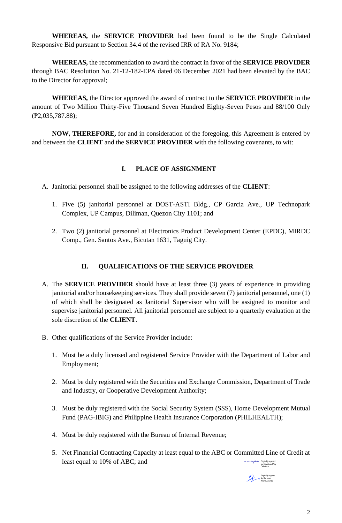**WHEREAS,** the **SERVICE PROVIDER** had been found to be the Single Calculated Responsive Bid pursuant to Section 34.4 of the revised IRR of RA No. 9184;

**WHEREAS,** the recommendation to award the contract in favor of the **SERVICE PROVIDER** through BAC Resolution No. 21-12-182-EPA dated 06 December 2021 had been elevated by the BAC to the Director for approval;

**WHEREAS,** the Director approved the award of contract to the **SERVICE PROVIDER** in the amount of Two Million Thirty-Five Thousand Seven Hundred Eighty-Seven Pesos and 88/100 Only (₱2,035,787.88);

**NOW, THEREFORE,** for and in consideration of the foregoing, this Agreement is entered by and between the **CLIENT** and the **SERVICE PROVIDER** with the following covenants, to wit:

## **I. PLACE OF ASSIGNMENT**

A. Janitorial personnel shall be assigned to the following addresses of the **CLIENT**:

- 1. Five (5) janitorial personnel at DOST-ASTI Bldg., CP Garcia Ave., UP Technopark Complex, UP Campus, Diliman, Quezon City 1101; and
- 2. Two (2) janitorial personnel at Electronics Product Development Center (EPDC), MIRDC Comp., Gen. Santos Ave., Bicutan 1631, Taguig City.

## **II. QUALIFICATIONS OF THE SERVICE PROVIDER**

- A. The **SERVICE PROVIDER** should have at least three (3) years of experience in providing janitorial and/or housekeeping services. They shall provide seven (7) janitorial personnel, one (1) of which shall be designated as Janitorial Supervisor who will be assigned to monitor and supervise janitorial personnel. All janitorial personnel are subject to a quarterly evaluation at the sole discretion of the **CLIENT**.
- B. Other qualifications of the Service Provider include:
	- 1. Must be a duly licensed and registered Service Provider with the Department of Labor and Employment;
	- 2. Must be duly registered with the Securities and Exchange Commission, Department of Trade and Industry, or Cooperative Development Authority;
	- 3. Must be duly registered with the Social Security System (SSS), Home Development Mutual Fund (PAG-IBIG) and Philippine Health Insurance Corporation (PHILHEALTH);
	- 4. Must be duly registered with the Bureau of Internal Revenue;
	- 5. Net Financial Contracting Capacity at least equal to the ABC or Committed Line of Credit at least equal to  $10\%$  of ABC; and by Cayaban May

Celicious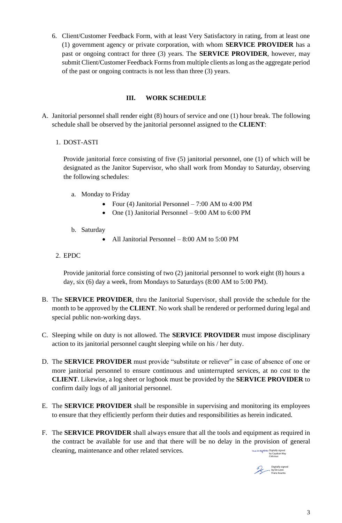6. Client/Customer Feedback Form, with at least Very Satisfactory in rating, from at least one (1) government agency or private corporation, with whom **SERVICE PROVIDER** has a past or ongoing contract for three (3) years. The **SERVICE PROVIDER**, however, may submit Client/Customer Feedback Forms from multiple clients as long as the aggregate period of the past or ongoing contracts is not less than three (3) years.

### **III. WORK SCHEDULE**

A. Janitorial personnel shall render eight (8) hours of service and one (1) hour break. The following schedule shall be observed by the janitorial personnel assigned to the **CLIENT**:

### 1. DOST-ASTI

Provide janitorial force consisting of five (5) janitorial personnel, one (1) of which will be designated as the Janitor Supervisor, who shall work from Monday to Saturday, observing the following schedules:

- a. Monday to Friday
	- Four (4) Janitorial Personnel 7:00 AM to 4:00 PM
	- One (1) Janitorial Personnel 9:00 AM to 6:00 PM
- b. Saturday
	- All Janitorial Personnel 8:00 AM to 5:00 PM
- 2. EPDC

Provide janitorial force consisting of two (2) janitorial personnel to work eight (8) hours a day, six (6) day a week, from Mondays to Saturdays (8:00 AM to 5:00 PM).

- B. The **SERVICE PROVIDER**, thru the Janitorial Supervisor, shall provide the schedule for the month to be approved by the **CLIENT**. No work shall be rendered or performed during legal and special public non-working days.
- C. Sleeping while on duty is not allowed. The **SERVICE PROVIDER** must impose disciplinary action to its janitorial personnel caught sleeping while on his / her duty.
- D. The **SERVICE PROVIDER** must provide "substitute or reliever" in case of absence of one or more janitorial personnel to ensure continuous and uninterrupted services, at no cost to the **CLIENT**. Likewise, a log sheet or logbook must be provided by the **SERVICE PROVIDER** to confirm daily logs of all janitorial personnel.
- E. The **SERVICE PROVIDER** shall be responsible in supervising and monitoring its employees to ensure that they efficiently perform their duties and responsibilities as herein indicated.
- F. The **SERVICE PROVIDER** shall always ensure that all the tools and equipment as required in the contract be available for use and that there will be no delay in the provision of general cleaning, maintenance and other related services. Digitally signed by Cayaban May

Digitally signed by De Leon Franz Asunta

Celicious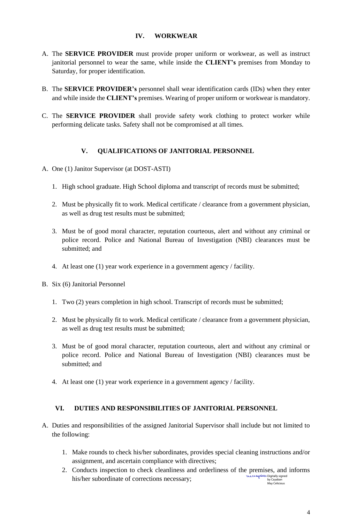## **IV. WORKWEAR**

- A. The **SERVICE PROVIDER** must provide proper uniform or workwear, as well as instruct janitorial personnel to wear the same, while inside the **CLIENT's** premises from Monday to Saturday, for proper identification.
- B. The **SERVICE PROVIDER's** personnel shall wear identification cards (IDs) when they enter and while inside the **CLIENT's** premises. Wearing of proper uniform or workwear is mandatory.
- C. The **SERVICE PROVIDER** shall provide safety work clothing to protect worker while performing delicate tasks. Safety shall not be compromised at all times.

# **V. QUALIFICATIONS OF JANITORIAL PERSONNEL**

- A. One (1) Janitor Supervisor (at DOST-ASTI)
	- 1. High school graduate. High School diploma and transcript of records must be submitted;
	- 2. Must be physically fit to work. Medical certificate / clearance from a government physician, as well as drug test results must be submitted;
	- 3. Must be of good moral character, reputation courteous, alert and without any criminal or police record. Police and National Bureau of Investigation (NBI) clearances must be submitted; and
	- 4. At least one (1) year work experience in a government agency / facility.
- B. Six (6) Janitorial Personnel
	- 1. Two (2) years completion in high school. Transcript of records must be submitted;
	- 2. Must be physically fit to work. Medical certificate / clearance from a government physician, as well as drug test results must be submitted;
	- 3. Must be of good moral character, reputation courteous, alert and without any criminal or police record. Police and National Bureau of Investigation (NBI) clearances must be submitted; and
	- 4. At least one (1) year work experience in a government agency / facility.

# **VI. DUTIES AND RESPONSIBILITIES OF JANITORIAL PERSONNEL**

- A. Duties and responsibilities of the assigned Janitorial Supervisor shall include but not limited to the following:
	- 1. Make rounds to check his/her subordinates, provides special cleaning instructions and/or assignment, and ascertain compliance with directives;
	- 2. Conducts inspection to check cleanliness and orderliness of the premises, and informs his/her subordinate of corrections necessary; Digitally signed by Cayaban May Celicious

4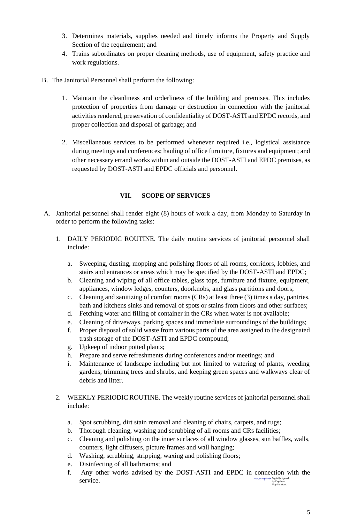- 3. Determines materials, supplies needed and timely informs the Property and Supply Section of the requirement; and
- 4. Trains subordinates on proper cleaning methods, use of equipment, safety practice and work regulations.
- B. The Janitorial Personnel shall perform the following:
	- 1. Maintain the cleanliness and orderliness of the building and premises. This includes protection of properties from damage or destruction in connection with the janitorial activities rendered, preservation of confidentiality of DOST-ASTI and EPDC records, and proper collection and disposal of garbage; and
	- 2. Miscellaneous services to be performed whenever required i.e., logistical assistance during meetings and conferences; hauling of office furniture, fixtures and equipment; and other necessary errand works within and outside the DOST-ASTI and EPDC premises, as requested by DOST-ASTI and EPDC officials and personnel.

## **VII. SCOPE OF SERVICES**

- A. Janitorial personnel shall render eight (8) hours of work a day, from Monday to Saturday in order to perform the following tasks:
	- 1. DAILY PERIODIC ROUTINE. The daily routine services of janitorial personnel shall include:
		- a. Sweeping, dusting, mopping and polishing floors of all rooms, corridors, lobbies, and stairs and entrances or areas which may be specified by the DOST-ASTI and EPDC;
		- b. Cleaning and wiping of all office tables, glass tops, furniture and fixture, equipment, appliances, window ledges, counters, doorknobs, and glass partitions and doors;
		- c. Cleaning and sanitizing of comfort rooms (CRs) at least three (3) times a day, pantries, bath and kitchens sinks and removal of spots or stains from floors and other surfaces;
		- d. Fetching water and filling of container in the CRs when water is not available;
		- e. Cleaning of driveways, parking spaces and immediate surroundings of the buildings;
		- f. Proper disposal of solid waste from various parts of the area assigned to the designated trash storage of the DOST-ASTI and EPDC compound;
		- g. Upkeep of indoor potted plants;
		- h. Prepare and serve refreshments during conferences and/or meetings; and
		- i. Maintenance of landscape including but not limited to watering of plants, weeding gardens, trimming trees and shrubs, and keeping green spaces and walkways clear of debris and litter.
	- 2. WEEKLY PERIODIC ROUTINE. The weekly routine services of janitorial personnel shall include:
		- a. Spot scrubbing, dirt stain removal and cleaning of chairs, carpets, and rugs;
		- b. Thorough cleaning, washing and scrubbing of all rooms and CRs facilities;
		- c. Cleaning and polishing on the inner surfaces of all window glasses, sun baffles, walls, counters, light diffusers, picture frames and wall hanging;
		- d. Washing, scrubbing, stripping, waxing and polishing floors;
		- e. Disinfecting of all bathrooms; and
		- f. Any other works advised by the DOST-ASTI and EPDC in connection with the service. Digitally signed by Cayaban May Celicious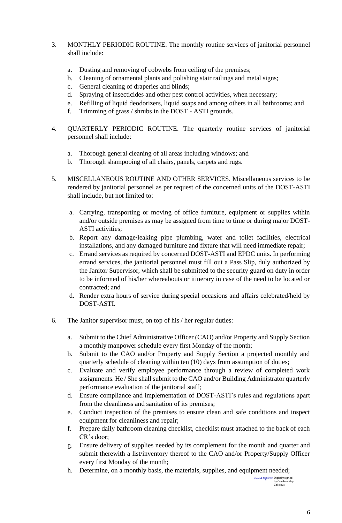- 3. MONTHLY PERIODIC ROUTINE. The monthly routine services of janitorial personnel shall include:
	- a. Dusting and removing of cobwebs from ceiling of the premises;
	- b. Cleaning of ornamental plants and polishing stair railings and metal signs;
	- c. General cleaning of draperies and blinds;
	- d. Spraying of insecticides and other pest control activities, when necessary;
	- e. Refilling of liquid deodorizers, liquid soaps and among others in all bathrooms; and
	- f. Trimming of grass / shrubs in the DOST ASTI grounds.
- 4. QUARTERLY PERIODIC ROUTINE. The quarterly routine services of janitorial personnel shall include:
	- a. Thorough general cleaning of all areas including windows; and
	- b. Thorough shampooing of all chairs, panels, carpets and rugs.
- 5. MISCELLANEOUS ROUTINE AND OTHER SERVICES. Miscellaneous services to be rendered by janitorial personnel as per request of the concerned units of the DOST-ASTI shall include, but not limited to:
	- a. Carrying, transporting or moving of office furniture, equipment or supplies within and/or outside premises as may be assigned from time to time or during major DOST-ASTI activities;
	- b. Report any damage/leaking pipe plumbing, water and toilet facilities, electrical installations, and any damaged furniture and fixture that will need immediate repair;
	- c. Errand services as required by concerned DOST-ASTI and EPDC units. In performing errand services, the janitorial personnel must fill out a Pass Slip, duly authorized by the Janitor Supervisor, which shall be submitted to the security guard on duty in order to be informed of his/her whereabouts or itinerary in case of the need to be located or contracted; and
	- d. Render extra hours of service during special occasions and affairs celebrated/held by DOST-ASTI.
- 6. The Janitor supervisor must, on top of his / her regular duties:
	- a. Submit to the Chief Administrative Officer (CAO) and/or Property and Supply Section a monthly manpower schedule every first Monday of the month;
	- b. Submit to the CAO and/or Property and Supply Section a projected monthly and quarterly schedule of cleaning within ten (10) days from assumption of duties;
	- c. Evaluate and verify employee performance through a review of completed work assignments. He / She shall submit to the CAO and/or Building Administrator quarterly performance evaluation of the janitorial staff;
	- d. Ensure compliance and implementation of DOST-ASTI's rules and regulations apart from the cleanliness and sanitation of its premises;
	- e. Conduct inspection of the premises to ensure clean and safe conditions and inspect equipment for cleanliness and repair;
	- f. Prepare daily bathroom cleaning checklist, checklist must attached to the back of each CR's door;
	- g. Ensure delivery of supplies needed by its complement for the month and quarter and submit therewith a list/inventory thereof to the CAO and/or Property/Supply Officer every first Monday of the month;
	- h. Determine, on a monthly basis, the materials, supplies, and equipment needed;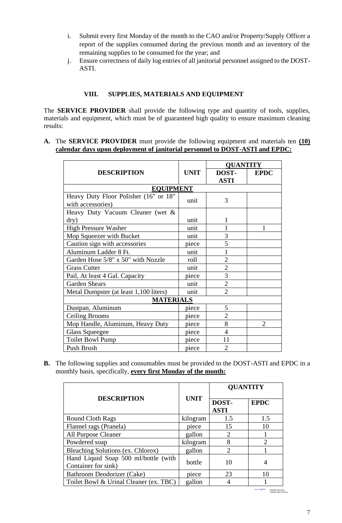- i. Submit every first Monday of the month to the CAO and/or Property/Supply Officer a report of the supplies consumed during the previous month and an inventory of the remaining supplies to be consumed for the year; and
- j. Ensure correctness of daily log entries of all janitorial personnel assigned to the DOST-ASTI.

#### **VIII. SUPPLIES, MATERIALS AND EQUIPMENT**

The **SERVICE PROVIDER** shall provide the following type and quantity of tools, supplies, materials and equipment, which must be of guaranteed high quality to ensure maximum cleaning results:

**A.** The **SERVICE PROVIDER** must provide the following equipment and materials ten **(10) calendar days upon deployment of janitorial personnel to DOST-ASTI and EPDC:**

|                                        |             | <b>QUANTITY</b> |                |
|----------------------------------------|-------------|-----------------|----------------|
| <b>DESCRIPTION</b>                     | <b>UNIT</b> | DOST-           | <b>EPDC</b>    |
|                                        |             | <b>ASTI</b>     |                |
| <b>EQUIPMENT</b>                       |             |                 |                |
| Heavy Duty Floor Polisher (16" or 18"  | unit        | 3               |                |
| with accessories)                      |             |                 |                |
| Heavy Duty Vacuum Cleaner (wet &       |             |                 |                |
| $\rm{dry})$                            | unit        | 1               |                |
| High Pressure Washer                   | unit        |                 | 1              |
| Mop Squeezer with Bucket               | unit        | 3               |                |
| Caution sign with accessories          | piece       | 5               |                |
| Aluminum Ladder 8 Ft.                  | unit        |                 |                |
| Garden Hose 5/8" x 50" with Nozzle     | roll        | $\overline{2}$  |                |
| <b>Grass Cutter</b>                    | unit        | $\overline{2}$  |                |
| Pail, At least 4 Gal. Capacity         | piece       | 3               |                |
| <b>Garden Shears</b>                   | unit        | $\overline{2}$  |                |
| Metal Dumpster (at least 1,100 liters) | unit        | $\overline{2}$  |                |
| <b>MATERIALS</b>                       |             |                 |                |
| Dustpan, Aluminum                      | piece       | 5               |                |
| <b>Ceiling Brooms</b>                  | piece       | $\overline{2}$  |                |
| Mop Handle, Aluminum, Heavy Duty       | piece       | 8               | $\overline{2}$ |
| <b>Glass Squeegee</b>                  | piece       | $\overline{4}$  |                |
| <b>Toilet Bowl Pump</b>                | piece       | 11              |                |
| Push Brush                             | piece       | $\overline{2}$  |                |

**B.** The following supplies and consumables must be provided to the DOST-ASTI and EPDC in a monthly basis, specifically, **every first Monday of the month:**

|                                                             |             | <b>QUANTITY</b>      |               |
|-------------------------------------------------------------|-------------|----------------------|---------------|
| <b>DESCRIPTION</b>                                          | <b>UNIT</b> | DOST-<br><b>ASTI</b> | <b>EPDC</b>   |
| Round Cloth Rags                                            | kilogram    | 1.5                  | 1.5           |
| Flannel rags (Pranela)                                      | piece       | 15                   | 10            |
| All Purpose Cleaner                                         | gallon      | $\overline{2}$       |               |
| Powdered soap                                               | kilogram    | 8                    | $\mathcal{D}$ |
| Bleaching Solutions (ex. Chlorox)                           | gallon      | $\overline{2}$       |               |
| Hand Liquid Soap 500 ml/bottle (with<br>Container for sink) | bottle      | 10                   |               |
| Bathroom Deodorizer (Cake)                                  | piece       | 23                   | 10            |
| Toilet Bowl & Urinal Cleaner (ex. TBC)                      | gallon      | 4                    |               |

Digitally signed by Cayaban May Celicious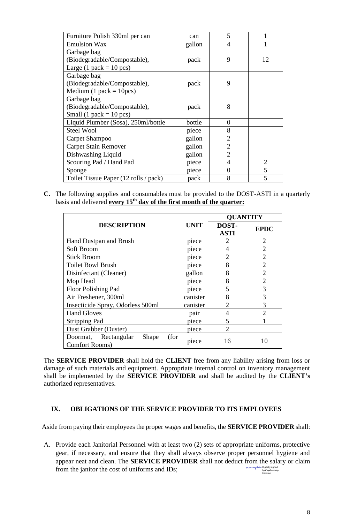| Furniture Polish 330ml per can        | can    | 5              |                |
|---------------------------------------|--------|----------------|----------------|
| <b>Emulsion Wax</b>                   | gallon | $\overline{4}$ |                |
| Garbage bag                           |        |                |                |
| (Biodegradable/Compostable),          | pack   | 9              | 12             |
| Large (1 pack = $10$ pcs)             |        |                |                |
| Garbage bag                           |        |                |                |
| (Biodegradable/Compostable),          | pack   | 9              |                |
| Medium (1 pack = $10 \text{pcs}$ )    |        |                |                |
| Garbage bag                           |        |                |                |
| (Biodegradable/Compostable),          | pack   | 8              |                |
| Small (1 pack = $10$ pcs)             |        |                |                |
| Liquid Plumber (Sosa), 250ml/bottle   | bottle | $\overline{0}$ |                |
| <b>Steel Wool</b>                     | piece  | 8              |                |
| Carpet Shampoo                        | gallon | $\overline{2}$ |                |
| <b>Carpet Stain Remover</b>           | gallon | $\overline{2}$ |                |
| Dishwashing Liquid                    | gallon | $\overline{2}$ |                |
| Scouring Pad / Hand Pad               | piece  | $\overline{4}$ | $\overline{2}$ |
| Sponge                                | piece  | $\overline{0}$ | 5              |
| Toilet Tissue Paper (12 rolls / pack) | pack   | 8              | 5              |

**C.** The following supplies and consumables must be provided to the DOST-ASTI in a quarterly basis and delivered **every 15th day of the first month of the quarter:**

|                                                                 |             | <b>QUANTITY</b>      |                |
|-----------------------------------------------------------------|-------------|----------------------|----------------|
| <b>DESCRIPTION</b>                                              | <b>UNIT</b> | DOST-<br><b>ASTI</b> | <b>EPDC</b>    |
| Hand Dustpan and Brush                                          | piece       | 2                    | $\overline{2}$ |
| Soft Broom                                                      | piece       | $\overline{4}$       | $\overline{2}$ |
| <b>Stick Broom</b>                                              | piece       | $\overline{2}$       | $\overline{2}$ |
| <b>Toilet Bowl Brush</b>                                        | piece       | 8                    | $\overline{2}$ |
| Disinfectant (Cleaner)                                          | gallon      | 8                    | $\overline{2}$ |
| Mop Head                                                        | piece       | 8                    | $\overline{2}$ |
| Floor Polishing Pad                                             | piece       | 5                    | 3              |
| Air Freshener, 300ml                                            | canister    | 8                    | 3              |
| Insecticide Spray, Odorless 500ml                               | canister    | $\overline{2}$       | 3              |
| <b>Hand Gloves</b>                                              | pair        | $\overline{4}$       | $\mathfrak{D}$ |
| <b>Stripping Pad</b>                                            | piece       | 5                    |                |
| Dust Grabber (Duster)                                           | piece       | $\overline{2}$       |                |
| Doormat, Rectangular<br>Shape<br>(for<br><b>Comfort Rooms</b> ) | piece       | 16                   | 10             |

The **SERVICE PROVIDER** shall hold the **CLIENT** free from any liability arising from loss or damage of such materials and equipment. Appropriate internal control on inventory management shall be implemented by the **SERVICE PROVIDER** and shall be audited by the **CLIENT's** authorized representatives.

#### **IX. OBLIGATIONS OF THE SERVICE PROVIDER TO ITS EMPLOYEES**

Aside from paying their employees the proper wages and benefits, the **SERVICE PROVIDER** shall:

A. Provide each Janitorial Personnel with at least two (2) sets of appropriate uniforms, protective gear, if necessary, and ensure that they shall always observe proper personnel hygiene and appear neat and clean. The **SERVICE PROVIDER** shall not deduct from the salary or claim from the janitor the cost of uniforms and IDs; Digitally signed by Cayaban May Celicious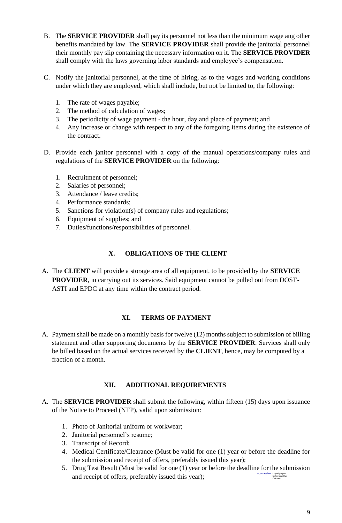- B. The **SERVICE PROVIDER** shall pay its personnel not less than the minimum wage ang other benefits mandated by law. The **SERVICE PROVIDER** shall provide the janitorial personnel their monthly pay slip containing the necessary information on it. The **SERVICE PROVIDER** shall comply with the laws governing labor standards and employee's compensation.
- C. Notify the janitorial personnel, at the time of hiring, as to the wages and working conditions under which they are employed, which shall include, but not be limited to, the following:
	- 1. The rate of wages payable;
	- 2. The method of calculation of wages;
	- 3. The periodicity of wage payment the hour, day and place of payment; and
	- 4. Any increase or change with respect to any of the foregoing items during the existence of the contract.
- D. Provide each janitor personnel with a copy of the manual operations/company rules and regulations of the **SERVICE PROVIDER** on the following:
	- 1. Recruitment of personnel;
	- 2. Salaries of personnel;
	- 3. Attendance / leave credits;
	- 4. Performance standards;
	- 5. Sanctions for violation(s) of company rules and regulations;
	- 6. Equipment of supplies; and
	- 7. Duties/functions/responsibilities of personnel.

### **X. OBLIGATIONS OF THE CLIENT**

A. The **CLIENT** will provide a storage area of all equipment, to be provided by the **SERVICE PROVIDER**, in carrying out its services. Said equipment cannot be pulled out from DOST-ASTI and EPDC at any time within the contract period.

#### **XI. TERMS OF PAYMENT**

A. Payment shall be made on a monthly basis for twelve (12) months subject to submission of billing statement and other supporting documents by the **SERVICE PROVIDER**. Services shall only be billed based on the actual services received by the **CLIENT**, hence, may be computed by a fraction of a month.

## **XII. ADDITIONAL REQUIREMENTS**

- A. The **SERVICE PROVIDER** shall submit the following, within fifteen (15) days upon issuance of the Notice to Proceed (NTP), valid upon submission:
	- 1. Photo of Janitorial uniform or workwear;
	- 2. Janitorial personnel's resume;
	- 3. Transcript of Record;
	- 4. Medical Certificate/Clearance (Must be valid for one (1) year or before the deadline for the submission and receipt of offers, preferably issued this year);
	- 5. Drug Test Result (Must be valid for one (1) year or before the deadline for the submission and receipt of offers, preferably issued this year); Digitally signed by Cayaban May Celicious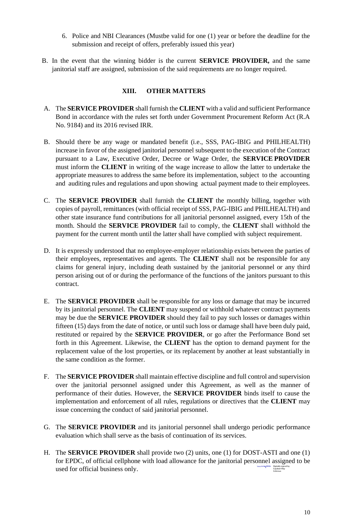- 6. Police and NBI Clearances (Mustbe valid for one (1) year or before the deadline for the submission and receipt of offers, preferably issued this year)
- B. In the event that the winning bidder is the current **SERVICE PROVIDER,** and the same janitorial staff are assigned, submission of the said requirements are no longer required.

### **XIII. OTHER MATTERS**

- A. The **SERVICE PROVIDER** shall furnish the **CLIENT** with a valid and sufficient Performance Bond in accordance with the rules set forth under Government Procurement Reform Act (R.A No. 9184) and its 2016 revised IRR.
- B. Should there be any wage or mandated benefit (i.e., SSS, PAG-IBIG and PHILHEALTH) increase in favor of the assigned janitorial personnel subsequent to the execution of the Contract pursuant to a Law, Executive Order, Decree or Wage Order, the **SERVICE PROVIDER** must inform the **CLIENT** in writing of the wage increase to allow the latter to undertake the appropriate measures to address the same before its implementation, subject to the accounting and auditing rules and regulations and upon showing actual payment made to their employees.
- C. The **SERVICE PROVIDER** shall furnish the **CLIENT** the monthly billing, together with copies of payroll, remittances (with official receipt of SSS, PAG-IBIG and PHILHEALTH) and other state insurance fund contributions for all janitorial personnel assigned, every 15th of the month. Should the **SERVICE PROVIDER** fail to comply, the **CLIENT** shall withhold the payment for the current month until the latter shall have complied with subject requirement.
- D. It is expressly understood that no employee-employer relationship exists between the parties of their employees, representatives and agents. The **CLIENT** shall not be responsible for any claims for general injury, including death sustained by the janitorial personnel or any third person arising out of or during the performance of the functions of the janitors pursuant to this contract.
- E. The **SERVICE PROVIDER** shall be responsible for any loss or damage that may be incurred by its janitorial personnel. The **CLIENT** may suspend or withhold whatever contract payments may be due the **SERVICE PROVIDER** should they fail to pay such losses or damages within fifteen (15) days from the date of notice, or until such loss or damage shall have been duly paid, restituted or repaired by the **SERVICE PROVIDER**, or go after the Performance Bond set forth in this Agreement. Likewise, the **CLIENT** has the option to demand payment for the replacement value of the lost properties, or its replacement by another at least substantially in the same condition as the former.
- F. The **SERVICE PROVIDER** shall maintain effective discipline and full control and supervision over the janitorial personnel assigned under this Agreement, as well as the manner of performance of their duties. However, the **SERVICE PROVIDER** binds itself to cause the implementation and enforcement of all rules, regulations or directives that the **CLIENT** may issue concerning the conduct of said janitorial personnel.
- G. The **SERVICE PROVIDER** and its janitorial personnel shall undergo periodic performance evaluation which shall serve as the basis of continuation of its services.
- H. The **SERVICE PROVIDER** shall provide two (2) units, one (1) for DOST-ASTI and one (1) for EPDC, of official cellphone with load allowance for the janitorial personnel assigned to be used for official business only. Digitally signed by Cayaban May Celicious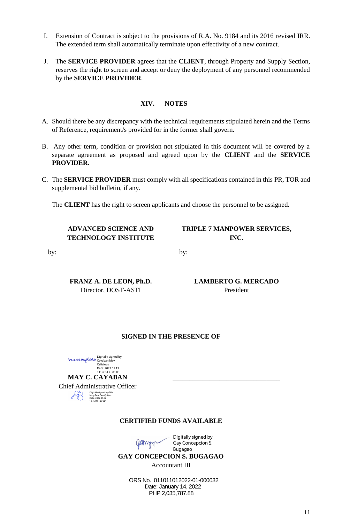- I. Extension of Contract is subject to the provisions of R.A. No. 9184 and its 2016 revised IRR. The extended term shall automatically terminate upon effectivity of a new contract.
- J. The **SERVICE PROVIDER** agrees that the **CLIENT**, through Property and Supply Section, reserves the right to screen and accept or deny the deployment of any personnel recommended by the **SERVICE PROVIDER**.

### **XIV. NOTES**

- A. Should there be any discrepancy with the technical requirements stipulated herein and the Terms of Reference, requirement/s provided for in the former shall govern.
- B. Any other term, condition or provision not stipulated in this document will be covered by a separate agreement as proposed and agreed upon by the **CLIENT** and the **SERVICE PROVIDER**.
- C. The **SERVICE PROVIDER** must comply with all specifications contained in this PR, TOR and supplemental bid bulletin, if any.

by:

The **CLIENT** has the right to screen applicants and choose the personnel to be assigned.

### **ADVANCED SCIENCE AND TECHNOLOGY INSTITUTE**

**TRIPLE 7 MANPOWER SERVICES, INC.**

by:

**FRANZ A. DE LEON, Ph.D.** Director, DOST-ASTI

**LAMBERTO G. MERCADO** President

 **\_\_\_\_\_\_\_\_\_\_\_\_\_\_\_\_\_\_\_\_\_\_\_\_\_\_\_\_\_\_\_\_**

#### **SIGNED IN THE PRESENCE OF**

Digitally signed by Cayaban May Celicious Date: 2022.01.13 11:32:04 +08'0 **MAY C. CAYABAN** Chief Administrative Officer Digitally signed by Gilla Mary Drol Dee Quijano Date: 2022.01.12 18:45:01 +08'00'  $\sqrt{1}$ 

#### **CERTIFIED FUNDS AVAILABLE**



Digitally signed by Gay Concepcion S. Bugagao

**GAY CONCEPCION S. BUGAGAO**

Accountant III

ORS No. 011011012022-01-000032 Date: January 14, 2022 PHP 2,035,787.88